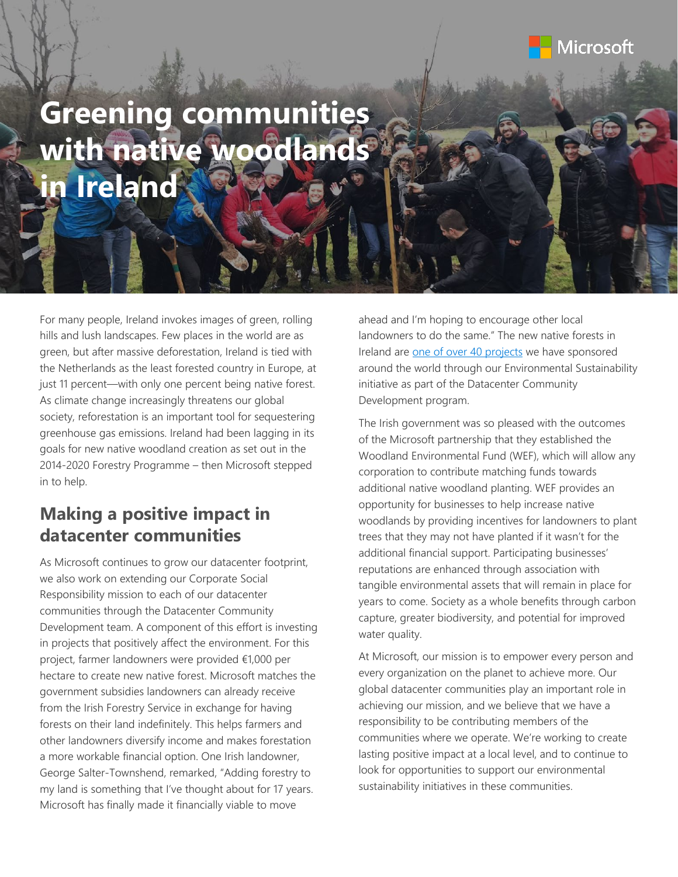## Microsoft

# **Greening communities with native woodlands in Ireland**

For many people, Ireland invokes images of green, rolling hills and lush landscapes. Few places in the world are as green, but after massive deforestation, Ireland is tied with the Netherlands as the least forested country in Europe, at just 11 percent—with only one percent being native forest. As climate change increasingly threatens our global society, reforestation is an important tool for sequestering greenhouse gas emissions. Ireland had been lagging in its goals for new native woodland creation as set out in the 2014-2020 Forestry Programme – then Microsoft stepped in to help.

### **Making a positive impact in datacenter communities**

As Microsoft continues to grow our datacenter footprint, we also work on extending our Corporate Social Responsibility mission to each of our datacenter communities through the Datacenter Community Development team. A component of this effort is investing in projects that positively affect the environment. For this project, farmer landowners were provided €1,000 per hectare to create new native forest. Microsoft matches the government subsidies landowners can already receive from the Irish Forestry Service in exchange for having forests on their land indefinitely. This helps farmers and other landowners diversify income and makes forestation a more workable financial option. One Irish landowner, George Salter-Townshend, remarked, "Adding forestry to my land is something that I've thought about for 17 years. Microsoft has finally made it financially viable to move

ahead and I'm hoping to encourage other local landowners to do the same." The new native forests in Ireland are [one of over 40 projects](https://azure.microsoft.com/en-us/global-infrastructure/community/) we have sponsored around the world through our Environmental Sustainability initiative as part of the Datacenter Community Development program.

The Irish government was so pleased with the outcomes of the Microsoft partnership that they established the Woodland Environmental Fund (WEF), which will allow any corporation to contribute matching funds towards additional native woodland planting. WEF provides an opportunity for businesses to help increase native woodlands by providing incentives for landowners to plant trees that they may not have planted if it wasn't for the additional financial support. Participating businesses' reputations are enhanced through association with tangible environmental assets that will remain in place for years to come. Society as a whole benefits through carbon capture, greater biodiversity, and potential for improved water quality.

At Microsoft, our mission is to empower every person and every organization on the planet to achieve more. Our global datacenter communities play an important role in achieving our mission, and we believe that we have a responsibility to be contributing members of the communities where we operate. We're working to create lasting positive impact at a local level, and to continue to look for opportunities to support our environmental sustainability initiatives in these communities.